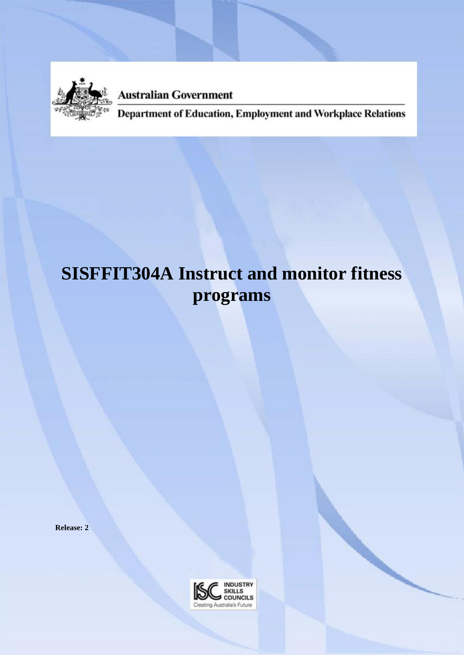

**Australian Government** 

Department of Education, Employment and Workplace Relations

# **SISFFIT304A Instruct and monitor fitness programs**

**Release: 2**

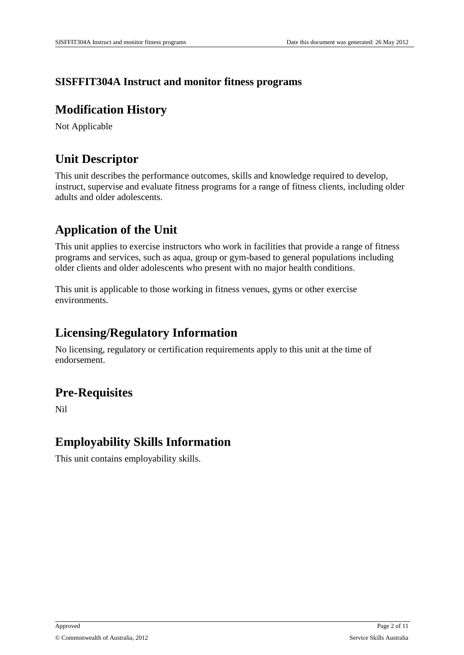### **SISFFIT304A Instruct and monitor fitness programs**

### **Modification History**

Not Applicable

### **Unit Descriptor**

This unit describes the performance outcomes, skills and knowledge required to develop, instruct, supervise and evaluate fitness programs for a range of fitness clients, including older adults and older adolescents.

## **Application of the Unit**

This unit applies to exercise instructors who work in facilities that provide a range of fitness programs and services, such as aqua, group or gym-based to general populations including older clients and older adolescents who present with no major health conditions.

This unit is applicable to those working in fitness venues, gyms or other exercise environments.

### **Licensing/Regulatory Information**

No licensing, regulatory or certification requirements apply to this unit at the time of endorsement.

### **Pre-Requisites**

Nil

### **Employability Skills Information**

This unit contains employability skills.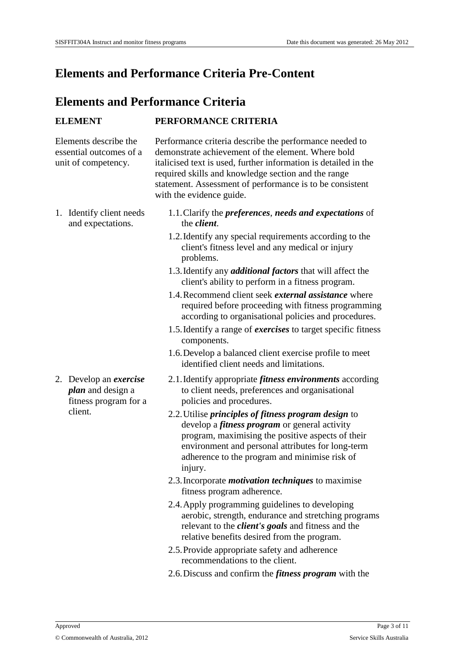### **Elements and Performance Criteria Pre-Content**

### **Elements and Performance Criteria**

#### **ELEMENT PERFORMANCE CRITERIA**

Elements describe the essential outcomes of a unit of competency.

Performance criteria describe the performance needed to demonstrate achievement of the element. Where bold italicised text is used, further information is detailed in the required skills and knowledge section and the range statement. Assessment of performance is to be consistent with the evidence guide.

1. Identify client needs and expectations.

2. Develop an *exercise plan* and design a fitness program for a client.

- 1.1.Clarify the *preferences*, *needs and expectations* of the *client*.
- 1.2.Identify any special requirements according to the client's fitness level and any medical or injury problems.
- 1.3.Identify any *additional factors* that will affect the client's ability to perform in a fitness program.
- 1.4.Recommend client seek *external assistance* where required before proceeding with fitness programming according to organisational policies and procedures.
- 1.5.Identify a range of *exercises* to target specific fitness components.
- 1.6.Develop a balanced client exercise profile to meet identified client needs and limitations.
- 2.1.Identify appropriate *fitness environments* according to client needs, preferences and organisational policies and procedures.
- 2.2.Utilise *principles of fitness program design* to develop a *fitness program* or general activity program, maximising the positive aspects of their environment and personal attributes for long-term adherence to the program and minimise risk of injury.
- 2.3.Incorporate *motivation techniques* to maximise fitness program adherence.
- 2.4.Apply programming guidelines to developing aerobic, strength, endurance and stretching programs relevant to the *client's goals* and fitness and the relative benefits desired from the program.
- 2.5.Provide appropriate safety and adherence recommendations to the client.
- 2.6.Discuss and confirm the *fitness program* with the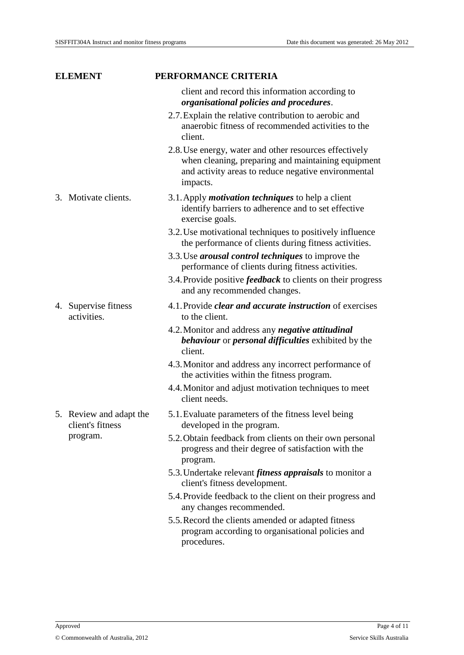| <b>ELEMENT</b>                              | PERFORMANCE CRITERIA                                                                                                                                                            |
|---------------------------------------------|---------------------------------------------------------------------------------------------------------------------------------------------------------------------------------|
|                                             | client and record this information according to<br>organisational policies and procedures.                                                                                      |
|                                             | 2.7. Explain the relative contribution to aerobic and<br>anaerobic fitness of recommended activities to the<br>client.                                                          |
|                                             | 2.8. Use energy, water and other resources effectively<br>when cleaning, preparing and maintaining equipment<br>and activity areas to reduce negative environmental<br>impacts. |
| 3. Motivate clients.                        | 3.1. Apply <i>motivation techniques</i> to help a client<br>identify barriers to adherence and to set effective<br>exercise goals.                                              |
|                                             | 3.2. Use motivational techniques to positively influence<br>the performance of clients during fitness activities.                                                               |
|                                             | 3.3. Use <i>arousal control techniques</i> to improve the<br>performance of clients during fitness activities.                                                                  |
|                                             | 3.4. Provide positive <i>feedback</i> to clients on their progress<br>and any recommended changes.                                                                              |
| 4. Supervise fitness<br>activities.         | 4.1. Provide <i>clear and accurate instruction</i> of exercises<br>to the client.                                                                                               |
|                                             | 4.2. Monitor and address any <i>negative attitudinal</i><br><b>behaviour</b> or <i>personal difficulties</i> exhibited by the<br>client.                                        |
|                                             | 4.3. Monitor and address any incorrect performance of<br>the activities within the fitness program.                                                                             |
|                                             | 4.4. Monitor and adjust motivation techniques to meet<br>client needs.                                                                                                          |
| 5. Review and adapt the<br>client's fitness | 5.1. Evaluate parameters of the fitness level being<br>developed in the program.                                                                                                |
| program.                                    | 5.2. Obtain feedback from clients on their own personal<br>progress and their degree of satisfaction with the<br>program.                                                       |
|                                             | 5.3. Undertake relevant <i>fitness appraisals</i> to monitor a<br>client's fitness development.                                                                                 |
|                                             | 5.4. Provide feedback to the client on their progress and<br>any changes recommended.                                                                                           |
|                                             | 5.5. Record the clients amended or adapted fitness<br>program according to organisational policies and<br>procedures.                                                           |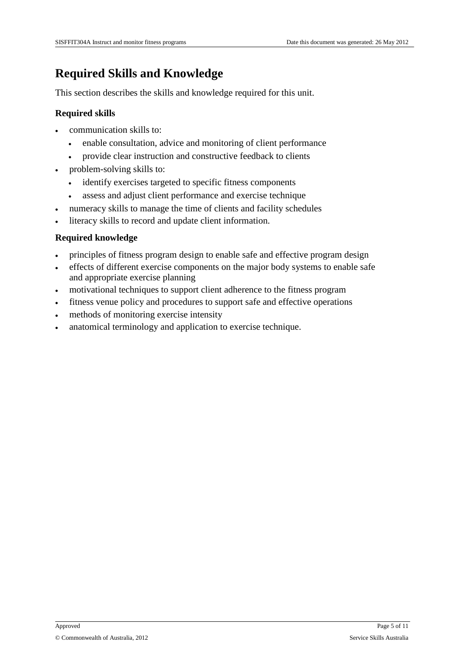### **Required Skills and Knowledge**

This section describes the skills and knowledge required for this unit.

#### **Required skills**

- communication skills to:
	- enable consultation, advice and monitoring of client performance
	- provide clear instruction and constructive feedback to clients
- problem-solving skills to:
	- identify exercises targeted to specific fitness components
	- assess and adjust client performance and exercise technique
- numeracy skills to manage the time of clients and facility schedules
- literacy skills to record and update client information.

#### **Required knowledge**

- principles of fitness program design to enable safe and effective program design
- effects of different exercise components on the major body systems to enable safe and appropriate exercise planning
- motivational techniques to support client adherence to the fitness program
- fitness venue policy and procedures to support safe and effective operations
- methods of monitoring exercise intensity
- anatomical terminology and application to exercise technique.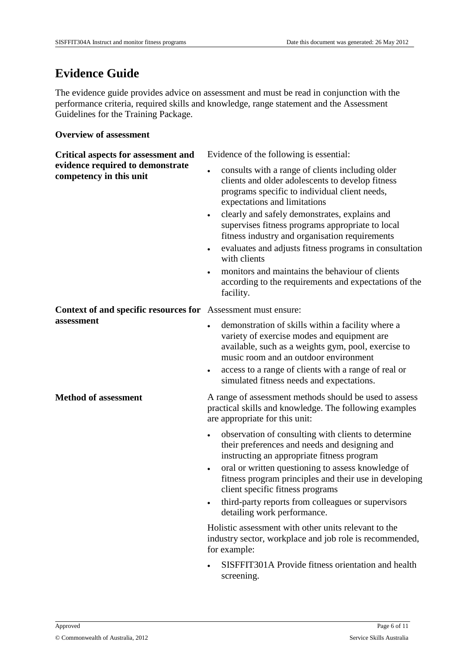### **Evidence Guide**

The evidence guide provides advice on assessment and must be read in conjunction with the performance criteria, required skills and knowledge, range statement and the Assessment Guidelines for the Training Package.

#### **Overview of assessment**

| <b>Critical aspects for assessment and</b>                  | Evidence of the following is essential:                                                                                                                                                                                                                                                                                                                                                                  |
|-------------------------------------------------------------|----------------------------------------------------------------------------------------------------------------------------------------------------------------------------------------------------------------------------------------------------------------------------------------------------------------------------------------------------------------------------------------------------------|
| evidence required to demonstrate<br>competency in this unit | consults with a range of clients including older<br>clients and older adolescents to develop fitness<br>programs specific to individual client needs,<br>expectations and limitations                                                                                                                                                                                                                    |
|                                                             | clearly and safely demonstrates, explains and<br>supervises fitness programs appropriate to local<br>fitness industry and organisation requirements                                                                                                                                                                                                                                                      |
|                                                             | evaluates and adjusts fitness programs in consultation<br>with clients                                                                                                                                                                                                                                                                                                                                   |
|                                                             | monitors and maintains the behaviour of clients<br>٠<br>according to the requirements and expectations of the<br>facility.                                                                                                                                                                                                                                                                               |
| Context of and specific resources for                       | Assessment must ensure:                                                                                                                                                                                                                                                                                                                                                                                  |
| assessment                                                  | demonstration of skills within a facility where a<br>$\bullet$<br>variety of exercise modes and equipment are<br>available, such as a weights gym, pool, exercise to<br>music room and an outdoor environment<br>access to a range of clients with a range of real or<br>٠<br>simulated fitness needs and expectations.                                                                                  |
| <b>Method of assessment</b>                                 | A range of assessment methods should be used to assess<br>practical skills and knowledge. The following examples<br>are appropriate for this unit:                                                                                                                                                                                                                                                       |
|                                                             | observation of consulting with clients to determine<br>their preferences and needs and designing and<br>instructing an appropriate fitness program<br>oral or written questioning to assess knowledge of<br>$\bullet$<br>fitness program principles and their use in developing<br>client specific fitness programs<br>third-party reports from colleagues or supervisors<br>detailing work performance. |
|                                                             | Holistic assessment with other units relevant to the<br>industry sector, workplace and job role is recommended,<br>for example:                                                                                                                                                                                                                                                                          |
|                                                             | SISFFIT301A Provide fitness orientation and health<br>screening.                                                                                                                                                                                                                                                                                                                                         |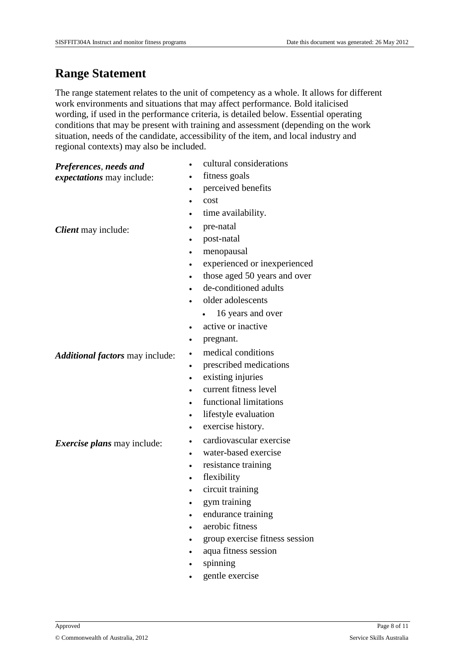### **Range Statement**

The range statement relates to the unit of competency as a whole. It allows for different work environments and situations that may affect performance. Bold italicised wording, if used in the performance criteria, is detailed below. Essential operating conditions that may be present with training and assessment (depending on the work situation, needs of the candidate, accessibility of the item, and local industry and regional contexts) may also be included.

#### *Preferences*, *needs and*

*expectations* may include:

- cultural considerations
- fitness goals
- perceived benefits
- cost
- time availability.

**Client** may include: <br> **pre-natal** 

- 
- post-natal
- menopausal
- experienced or inexperienced
- those aged 50 years and over
- de-conditioned adults
- older adolescents
	- 16 years and over
- active or inactive
- pregnant.

#### Additional factors may include: **•** medical conditions

- prescribed medications
- existing injuries
- current fitness level
- functional limitations
- lifestyle evaluation
- exercise history.
- **Exercise plans** may include: **cardiovascular exercise** 
	- water-based exercise
	- resistance training
	- flexibility
	- circuit training
	- gym training
	- endurance training
	- aerobic fitness
	- group exercise fitness session
	- aqua fitness session
	- spinning
	- gentle exercise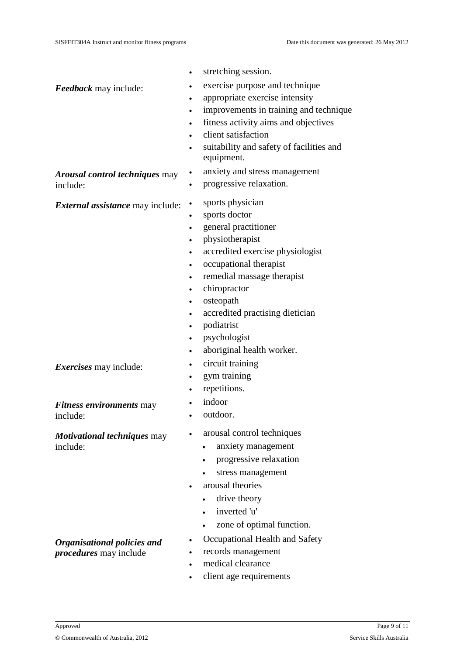• stretching session. *Feedback* may include: <br> exercise purpose and technique appropriate exercise intensity improvements in training and technique fitness activity aims and objectives client satisfaction suitability and safety of facilities and equipment. *Arousal control techniques* may include: anxiety and stress management progressive relaxation. *External assistance* may include: • sports physician sports doctor general practitioner physiotherapist accredited exercise physiologist occupational therapist remedial massage therapist chiropractor osteopath accredited practising dietician podiatrist psychologist aboriginal health worker. **Exercises** may include: <br> circuit training gym training repetitions. *Fitness environments* may include: indoor outdoor. *Motivational techniques* may include: arousal control techniques anxiety management progressive relaxation stress management arousal theories • drive theory inverted 'u' zone of optimal function.

- Occupational Health and Safety
- records management
- medical clearance
- client age requirements

*Organisational policies and procedures* may include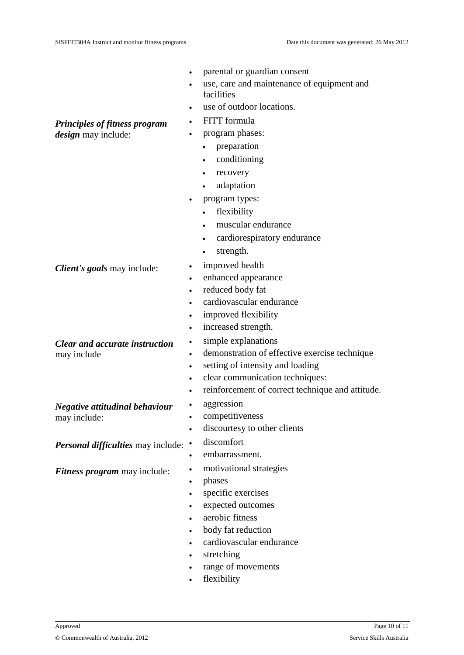parental or guardian consent use, care and maintenance of equipment and facilities use of outdoor locations. *Principles of fitness program design* may include: FITT formula program phases: • preparation • conditioning • recovery adaptation program types: • flexibility muscular endurance cardiorespiratory endurance • strength. **Client's goals** may include: **•** improved health enhanced appearance reduced body fat cardiovascular endurance improved flexibility increased strength. *Clear and accurate instruction* may include simple explanations demonstration of effective exercise technique setting of intensity and loading clear communication techniques: reinforcement of correct technique and attitude. *Negative attitudinal behaviour* may include: aggression • competitiveness discourtesy to other clients **Personal difficulties** may include: . discomfort embarrassment. **Fitness program** may include: <br> motivational strategies phases specific exercises expected outcomes aerobic fitness body fat reduction cardiovascular endurance stretching range of movements flexibility